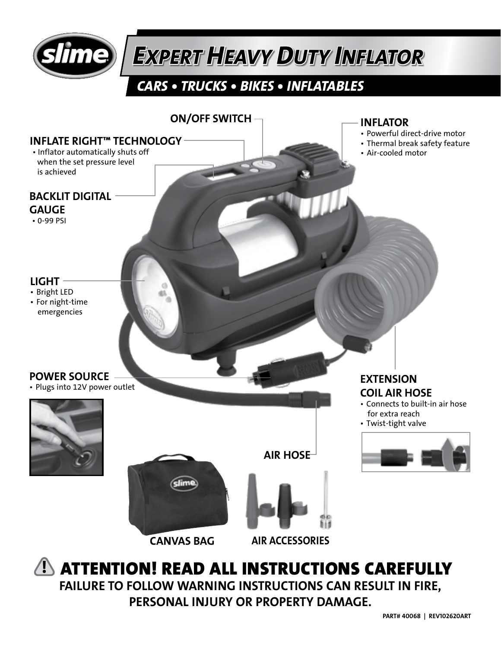

# *EXPERT HEAVY DUTY INFLATOR*

### *CARS • TRUCKS • BIKES • INFLATABLES*



FAILURE TO FOLLOW WARNING INSTRUCTIONS CAN RESULT IN FIRE, PERSONAL INJURY OR PROPERTY DAMAGE.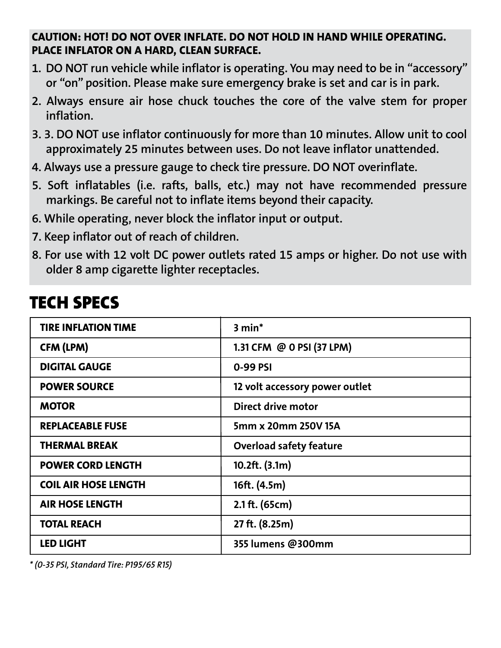#### CAUTION: HOT! DO NOT OVER INFLATE. DO NOT HOLD IN HAND WHILE OPERATING. PLACE INFLATOR ON A HARD, CLEAN SURFACE.

- 1. DO NOT run vehicle while inflator is operating. You may need to be in "accessory" or "on" position. Please make sure emergency brake is set and car is in park.
- 2. Always ensure air hose chuck touches the core of the valve stem for proper inflation.
- 3. 3. DO NOT use inflator continuously for more than 10 minutes. Allow unit to cool approximately 25 minutes between uses. Do not leave inflator unattended.
- 4. Always use a pressure gauge to check tire pressure. DO NOT overinflate.
- 5. Soft inflatables (i.e. rafts, balls, etc.) may not have recommended pressure markings. Be careful not to inflate items beyond their capacity.
- 6. While operating, never block the inflator input or output.
- 7. Keep inflator out of reach of children.
- 8. For use with 12 volt DC power outlets rated 15 amps or higher. Do not use with older 8 amp cigarette lighter receptacles.

| <b>TIRE INFLATION TIME</b>  | $3 min*$                       |
|-----------------------------|--------------------------------|
| CFM (LPM)                   | 1.31 CFM @ 0 PSI (37 LPM)      |
| <b>DIGITAL GAUGE</b>        | 0-99 PSI                       |
| <b>POWER SOURCE</b>         | 12 volt accessory power outlet |
| <b>MOTOR</b>                | Direct drive motor             |
| <b>REPLACEABLE FUSE</b>     | 5mm x 20mm 250V 15A            |
| <b>THERMAL BREAK</b>        | Overload safety feature        |
| <b>POWER CORD LENGTH</b>    | 10.2ft. (3.1m)                 |
| <b>COIL AIR HOSE LENGTH</b> | 16ft. (4.5m)                   |
| <b>AIR HOSE LENGTH</b>      | 2.1 ft. (65cm)                 |
| <b>TOTAL REACH</b>          | 27 ft. (8.25m)                 |
| <b>LED LIGHT</b>            | 355 lumens @300mm              |

## TECH SPECS

*\* (0-35 PSI, Standard Tire: P195/65 R15)*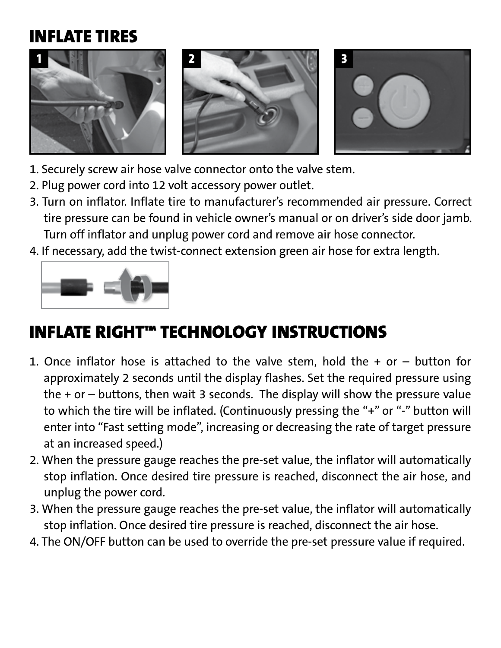## INFLATE TIRES



- 1. Securely screw air hose valve connector onto the valve stem.
- 2. Plug power cord into 12 volt accessory power outlet.
- 3. Turn on inflator. Inflate tire to manufacturer's recommended air pressure. Correct tire pressure can be found in vehicle owner's manual or on driver's side door jamb. Turn off inflator and unplug power cord and remove air hose connector.
- 4. If necessary, add the twist-connect extension green air hose for extra length.



# INFLATE RIGHT™ TECHNOLOGY INSTRUCTIONS

- 1. Once inflator hose is attached to the valve stem, hold the  $+$  or  $-$  button for approximately 2 seconds until the display flashes. Set the required pressure using the + or – buttons, then wait 3 seconds. The display will show the pressure value to which the tire will be inflated. (Continuously pressing the "+" or "-" button will enter into "Fast setting mode", increasing or decreasing the rate of target pressure at an increased speed.)
- 2. When the pressure gauge reaches the pre-set value, the inflator will automatically stop inflation. Once desired tire pressure is reached, disconnect the air hose, and unplug the power cord.
- 3. When the pressure gauge reaches the pre-set value, the inflator will automatically stop inflation. Once desired tire pressure is reached, disconnect the air hose.
- 4. The ON/OFF button can be used to override the pre-set pressure value if required.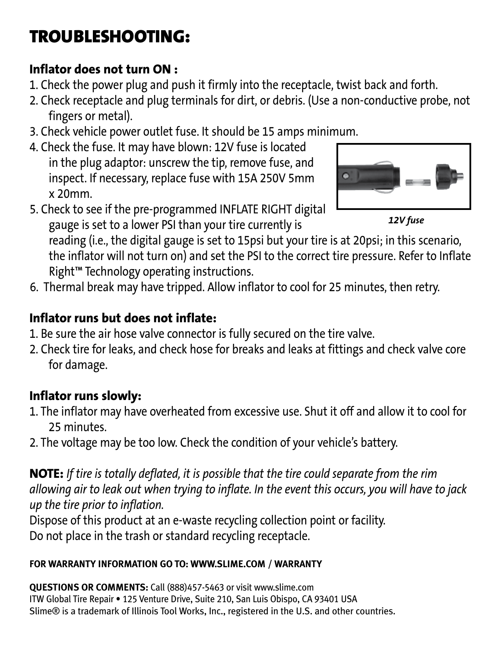# TROUBLESHOOTING:

#### Inflator does not turn ON :

- 1. Check the power plug and push it firmly into the receptacle, twist back and forth.
- 2. Check receptacle and plug terminals for dirt, or debris. (Use a non-conductive probe, not fingers or metal).
- 3. Check vehicle power outlet fuse. It should be 15 amps minimum.
- 4. Check the fuse. It may have blown: 12V fuse is located in the plug adaptor: unscrew the tip, remove fuse, and inspect. If necessary, replace fuse with 15A 250V 5mm x 20mm.
- 5. Check to see if the pre-programmed INFLATE RIGHT digital gauge is set to a lower PSI than your tire currently is



*12V fuse*

reading (i.e., the digital gauge is set to 15psi but your tire is at 20psi; in this scenario, the inflator will not turn on) and set the PSI to the correct tire pressure. Refer to Inflate Right™ Technology operating instructions.

6. Thermal break may have tripped. Allow inflator to cool for 25 minutes, then retry.

#### Inflator runs but does not inflate:

- 1. Be sure the air hose valve connector is fully secured on the tire valve.
- 2. Check tire for leaks, and check hose for breaks and leaks at fittings and check valve core for damage.

#### Inflator runs slowly:

- 1. The inflator may have overheated from excessive use. Shut it off and allow it to cool for 25 minutes.
- 2. The voltage may be too low. Check the condition of your vehicle's battery.

NOTE: *If tire is totally deflated, it is possible that the tire could separate from the rim allowing air to leak out when trying to inflate. In the event this occurs, you will have to jack up the tire prior to inflation.*

Dispose of this product at an e-waste recycling collection point or facility. Do not place in the trash or standard recycling receptacle.

#### **FOR WARRANTY INFORMATION GO TO: WWW.SLIME.COM / WARRANTY**

**QUESTIONS OR COMMENTS:** Call (888)457-5463 or visit www.slime.com ITW Global Tire Repair • 125 Venture Drive, Suite 210, San Luis Obispo, CA 93401 USA Slime® is a trademark of Illinois Tool Works, Inc., registered in the U.S. and other countries.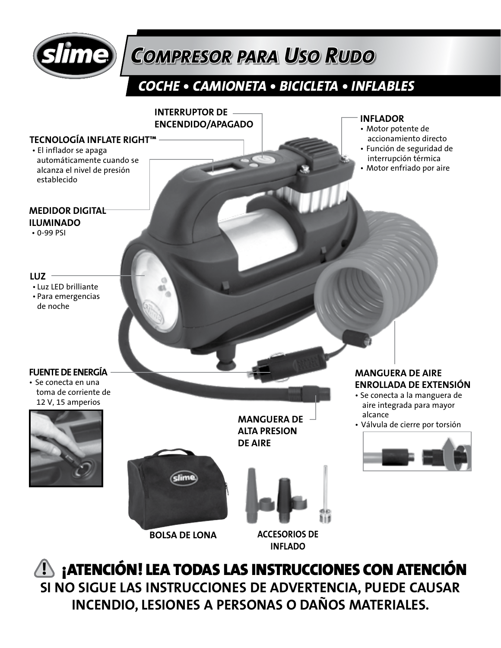

# *COMPRESOR PARA USO RUDO*

## *COCHE • CAMIONETA • BICICLETA • INFLABLES*



 ¡ATENCIÓN! **!** LEA TODAS LAS INSTRUCCIONES CON ATENCIÓN **SI NO SIGUE LAS INSTRUCCIONES DE ADVERTENCIA, PUEDE CAUSAR INCENDIO, LESIONES A PERSONAS O DAÑOS MATERIALES.**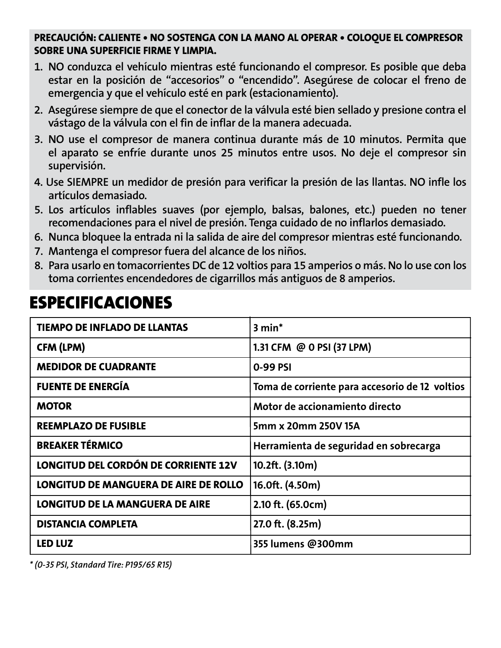#### **PRECAUCIÓN: CALIENTE • NO SOSTENGA CON LA MANO AL OPERAR • COLOQUE EL COMPRESOR SOBRE UNA SUPERFICIE FIRME Y LIMPIA.**

- 1. NO conduzca el vehículo mientras esté funcionando el compresor. Es posible que deba estar en la posición de "accesorios" o "encendido". Asegúrese de colocar el freno de emergencia y que el vehículo esté en park (estacionamiento).
- 2. Asegúrese siempre de que el conector de la válvula esté bien sellado y presione contra el vástago de la válvula con el fin de inflar de la manera adecuada.
- 3. NO use el compresor de manera continua durante más de 10 minutos. Permita que el aparato se enfríe durante unos 25 minutos entre usos. No deje el compresor sin supervisión.
- 4. Use SIEMPRE un medidor de presión para verificar la presión de las llantas. NO infle los artículos demasiado.
- 5. Los artículos inflables suaves (por ejemplo, balsas, balones, etc.) pueden no tener recomendaciones para el nivel de presión. Tenga cuidado de no inflarlos demasiado.
- 6. Nunca bloquee la entrada ni la salida de aire del compresor mientras esté funcionando.
- 7. Mantenga el compresor fuera del alcance de los niños.
- 8. Para usarlo en tomacorrientes DC de 12 voltios para 15 amperios o más. No lo use con los toma corrientes encendedores de cigarrillos más antiguos de 8 amperios.

## ESPECIFICACIONES

| TIEMPO DE INFLADO DE LLANTAS                 | 3 min*                                         |
|----------------------------------------------|------------------------------------------------|
| CFM (LPM)                                    | 1.31 CFM @ 0 PSI (37 LPM)                      |
| <b>MEDIDOR DE CUADRANTE</b>                  | 0-99 PSI                                       |
| <b>FUENTE DE ENERGÍA</b>                     | Toma de corriente para accesorio de 12 voltios |
| <b>MOTOR</b>                                 | Motor de accionamiento directo                 |
| <b>REEMPLAZO DE FUSIBLE</b>                  | 5mm x 20mm 250V 15A                            |
| <b>BREAKER TÉRMICO</b>                       | Herramienta de seguridad en sobrecarga         |
| <b>LONGITUD DEL CORDÓN DE CORRIENTE 12V</b>  | 10.2ft. (3.10m)                                |
| <b>LONGITUD DE MANGUERA DE AIRE DE ROLLO</b> | 16.0ft. (4.50m)                                |
| <b>LONGITUD DE LA MANGUERA DE AIRE</b>       | 2.10 ft. (65.0cm)                              |
| <b>DISTANCIA COMPLETA</b>                    | 27.0 ft. (8.25m)                               |
| LED LUZ                                      | 355 lumens @300mm                              |

*\* (0-35 PSI, Standard Tire: P195/65 R15)*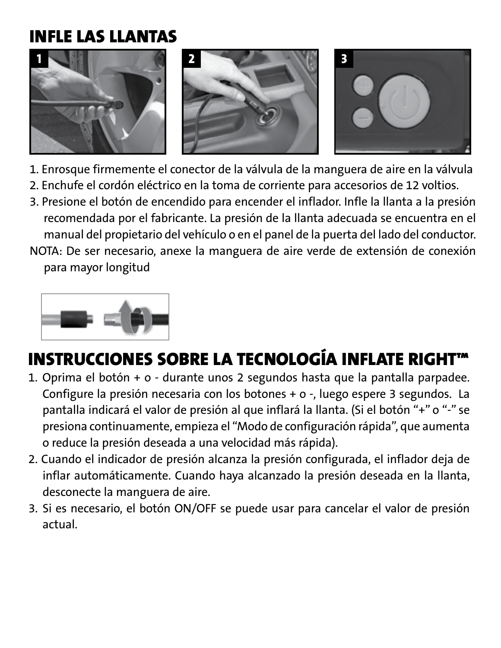## INFLE LAS LLANTAS



- 1. Enrosque firmemente el conector de la válvula de la manguera de aire en la válvula
- 2. Enchufe el cordón eléctrico en la toma de corriente para accesorios de 12 voltios.
- 3. Presione el botón de encendido para encender el inflador. Infle la llanta a la presión recomendada por el fabricante. La presión de la llanta adecuada se encuentra en el manual del propietario del vehículo o en el panel de la puerta del lado del conductor.
- NOTA: De ser necesario, anexe la manguera de aire verde de extensión de conexión para mayor longitud



# INSTRUCCIONES SOBRE LA TECNOLOGÍA INFLATE RIGHT™

- 1. Oprima el botón + o durante unos 2 segundos hasta que la pantalla parpadee. Configure la presión necesaria con los botones + o -, luego espere 3 segundos. La pantalla indicará el valor de presión al que inflará la llanta. (Si el botón "+" o "-" se presiona continuamente, empieza el "Modo de configuración rápida", que aumenta o reduce la presión deseada a una velocidad más rápida).
- 2. Cuando el indicador de presión alcanza la presión configurada, el inflador deja de inflar automáticamente. Cuando haya alcanzado la presión deseada en la llanta, desconecte la manguera de aire.
- 3. Si es necesario, el botón ON/OFF se puede usar para cancelar el valor de presión actual.